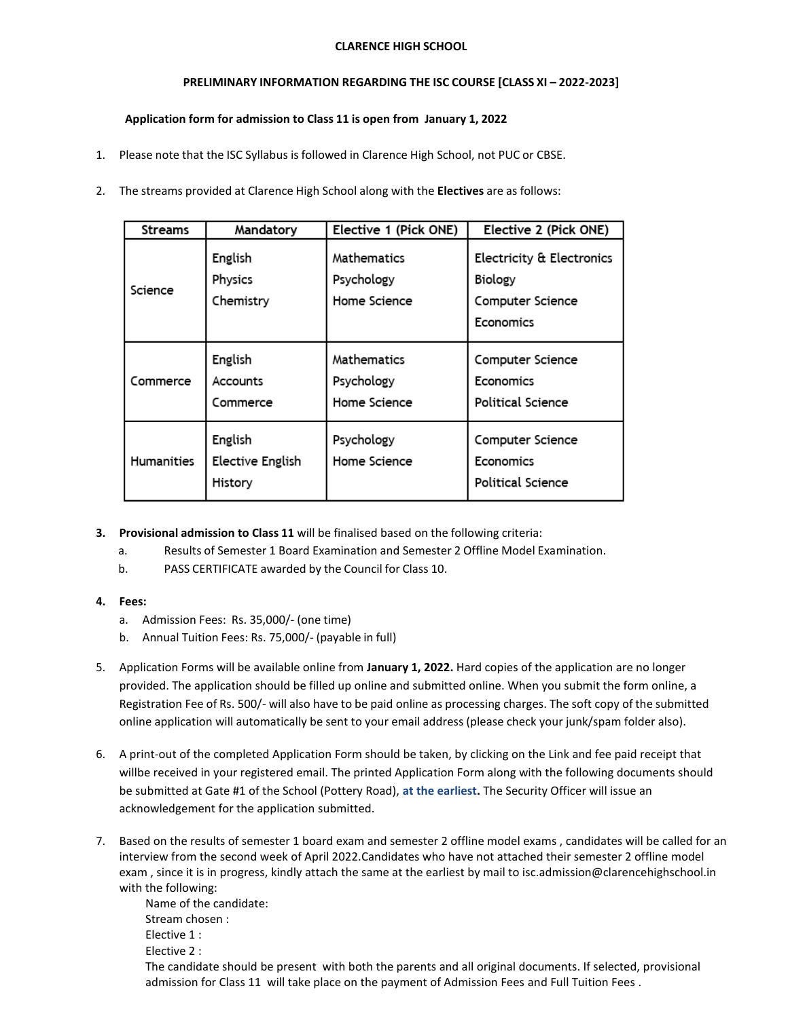## **CLARENCE HIGH SCHOOL**

## **PRELIMINARY INFORMATION REGARDING THE ISC COURSE [CLASS XI – 2022-2023]**

## **Application form for admission to Class 11 is open from January 1, 2022**

- 1. Please note that the ISC Syllabus is followed in Clarence High School, not PUC or CBSE.
- 2. The streams provided at Clarence High School along with the **Electives** are as follows:

| Streams           | Mandatory                              | Elective 1 (Pick ONE)                     | Elective 2 (Pick ONE)                                                 |
|-------------------|----------------------------------------|-------------------------------------------|-----------------------------------------------------------------------|
| Science           | English<br>Physics<br>Chemistry        | Mathematics<br>Psychology<br>Home Science | Electricity & Electronics<br>Biology<br>Computer Science<br>Economics |
| Commerce          | English<br>Accounts<br>Commerce        | Mathematics<br>Psychology<br>Home Science | Computer Science<br>Economics<br>Political Science                    |
| <b>Humanities</b> | English<br>Elective English<br>History | Psychology<br>Home Science                | Computer Science<br>Economics<br>Political Science                    |

- **3. Provisional admission to Class 11** will be finalised based on the following criteria:
	- a. Results of Semester 1 Board Examination and Semester 2 Offline Model Examination.
	- b. PASS CERTIFICATE awarded by the Council for Class 10.
- **4. Fees:**
	- a. Admission Fees: Rs. 35,000/- (one time)
	- b. Annual Tuition Fees: Rs. 75,000/- (payable in full)
- 5. Application Forms will be available online from **January 1, 2022.** Hard copies of the application are no longer provided. The application should be filled up online and submitted online. When you submit the form online, a Registration Fee of Rs. 500/- will also have to be paid online as processing charges. The soft copy of the submitted online application will automatically be sent to your email address (please check your junk/spam folder also).
- 6. A print-out of the completed Application Form should be taken, by clicking on the Link and fee paid receipt that willbe received in your registered email. The printed Application Form along with the following documents should be submitted at Gate #1 of the School (Pottery Road), **at the earliest.** The Security Officer will issue an acknowledgement for the application submitted.
- 7. Based on the results of semester 1 board exam and semester 2 offline model exams , candidates will be called for an interview from the second week of April 2022.Candidates who have not attached their semester 2 offline model exam , since it is in progress, kindly attach the same at the earliest by mail to [isc.admission@clarencehighschool.in](mailto:isc.admission@clarencehighschool.in) with the following:

Name of the candidate: Stream chosen : Elective 1 : Elective 2 : The candidate should be present with both the parents and all original documents. If selected, provisional admission for Class 11 will take place on the payment of Admission Fees and Full Tuition Fees.